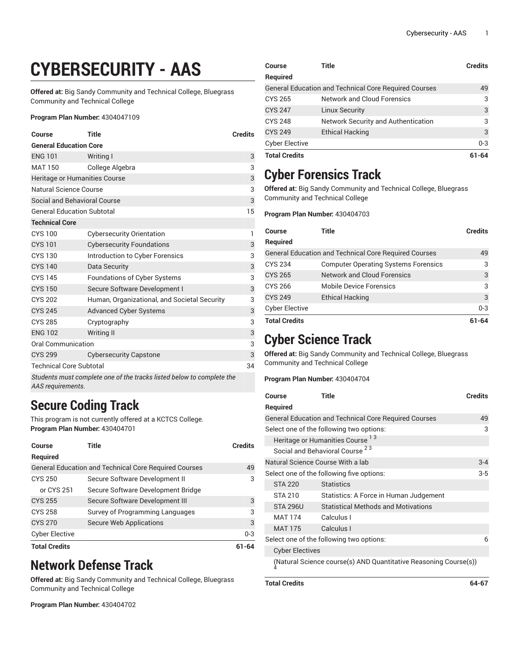# **CYBERSECURITY - AAS**

**Offered at:** Big Sandy Community and Technical College, Bluegrass Community and Technical College

#### **Program Plan Number:** 4304047109

| <b>Course</b>                                                                              | <b>Title</b>                                 | <b>Credits</b> |
|--------------------------------------------------------------------------------------------|----------------------------------------------|----------------|
| <b>General Education Core</b>                                                              |                                              |                |
| <b>ENG 101</b>                                                                             | Writing I                                    | 3              |
| <b>MAT 150</b>                                                                             | College Algebra                              | 3              |
| Heritage or Humanities Course                                                              |                                              |                |
| <b>Natural Science Course</b>                                                              |                                              | 3              |
| Social and Behavioral Course                                                               |                                              | $\mathsf 3$    |
| <b>General Education Subtotal</b>                                                          |                                              | 15             |
| <b>Technical Core</b>                                                                      |                                              |                |
| <b>CYS 100</b>                                                                             | <b>Cybersecurity Orientation</b>             | 1              |
| <b>CYS 101</b>                                                                             | <b>Cybersecurity Foundations</b>             | 3              |
| <b>CYS 130</b>                                                                             | Introduction to Cyber Forensics              | 3              |
| <b>CYS 140</b>                                                                             | Data Security                                | 3              |
| <b>CYS 145</b>                                                                             | Foundations of Cyber Systems                 | 3              |
| <b>CYS 150</b>                                                                             | Secure Software Development I                | 3              |
| <b>CYS 202</b>                                                                             | Human, Organizational, and Societal Security | 3              |
| <b>CYS 245</b>                                                                             | <b>Advanced Cyber Systems</b>                | 3              |
| <b>CYS 285</b>                                                                             | Cryptography                                 | 3              |
| <b>ENG 102</b>                                                                             | <b>Writing II</b>                            | 3              |
| <b>Oral Communication</b>                                                                  |                                              | 3              |
| <b>CYS 299</b>                                                                             | <b>Cybersecurity Capstone</b>                | $\sqrt{3}$     |
| <b>Technical Core Subtotal</b><br>34                                                       |                                              |                |
| Students must complete one of the tracks listed below to complete the<br>AAS requirements. |                                              |                |

**Secure Coding Track**

This program is not currently offered at a KCTCS College. **Program Plan Number:** 430404701

| Course<br>Required    | Title<br><b>General Education and Technical Core Required Courses</b> | <b>Credits</b> |
|-----------------------|-----------------------------------------------------------------------|----------------|
|                       |                                                                       | 49             |
| <b>CYS 250</b>        | Secure Software Development II                                        | 3              |
| or CYS 251            | Secure Software Development Bridge                                    |                |
| <b>CYS 255</b>        | Secure Software Development III                                       | 3              |
| <b>CYS 258</b>        | Survey of Programming Languages                                       | 3              |
| <b>CYS 270</b>        | Secure Web Applications                                               | 3              |
| <b>Cyber Elective</b> |                                                                       | $0 - 3$        |
| <b>Total Credits</b>  |                                                                       |                |

### **Network Defense Track**

**Offered at:** Big Sandy Community and Technical College, Bluegrass Community and Technical College

**Program Plan Number:** 430404702

| Course                                                       | Title                               | <b>Credits</b> |
|--------------------------------------------------------------|-------------------------------------|----------------|
| <b>Required</b>                                              |                                     |                |
| <b>General Education and Technical Core Required Courses</b> |                                     | 49             |
| CYS 265                                                      | Network and Cloud Forensics         | 3              |
| <b>CYS 247</b>                                               | <b>Linux Security</b>               | 3              |
| <b>CYS 248</b>                                               | Network Security and Authentication | 3              |
| <b>CYS 249</b>                                               | <b>Ethical Hacking</b>              | 3              |
| <b>Cyber Elective</b>                                        |                                     | $0 - 3$        |
| <b>Total Credits</b>                                         |                                     | 61-64          |

## **Cyber Forensics Track**

**Offered at:** Big Sandy Community and Technical College, Bluegrass Community and Technical College

**Program Plan Number:** 430404703

| Course                | Title                                                        | <b>Credits</b> |
|-----------------------|--------------------------------------------------------------|----------------|
| Required              |                                                              |                |
|                       | <b>General Education and Technical Core Required Courses</b> | 49             |
| <b>CYS 234</b>        | <b>Computer Operating Systems Forensics</b>                  | 3              |
| <b>CYS 265</b>        | <b>Network and Cloud Forensics</b>                           | 3              |
| <b>CYS 266</b>        | <b>Mobile Device Forensics</b>                               | 3              |
| <b>CYS 249</b>        | <b>Ethical Hacking</b>                                       | 3              |
| <b>Cyber Elective</b> |                                                              | $0 - 3$        |
| <b>Total Credits</b>  |                                                              | 61-64          |

### **Cyber Science Track**

**Offered at:** Big Sandy Community and Technical College, Bluegrass Community and Technical College

**Program Plan Number:** 430404704

| Course                                                             | Title                                      | Credits |
|--------------------------------------------------------------------|--------------------------------------------|---------|
| <b>Required</b>                                                    |                                            |         |
| <b>General Education and Technical Core Required Courses</b><br>49 |                                            |         |
| Select one of the following two options:                           |                                            |         |
| Heritage or Humanities Course <sup>13</sup>                        |                                            |         |
|                                                                    | Social and Behavioral Course <sup>23</sup> |         |
| Natural Science Course With a lab<br>$3 - 4$                       |                                            |         |
| Select one of the following five options:<br>$3 - 5$               |                                            |         |
| <b>STA 220</b>                                                     | <b>Statistics</b>                          |         |
| STA 210                                                            | Statistics: A Force in Human Judgement     |         |
| <b>STA 296U</b>                                                    | <b>Statistical Methods and Motivations</b> |         |
| <b>MAT 174</b>                                                     | Calculus I                                 |         |
| <b>MAT 175</b>                                                     | Calculus I                                 |         |
| Select one of the following two options:<br>6                      |                                            |         |
| <b>Cyber Electives</b>                                             |                                            |         |
| (Natural Science course(s) AND Quantitative Reasoning Course(s))   |                                            |         |

**Total Credits 64-67**